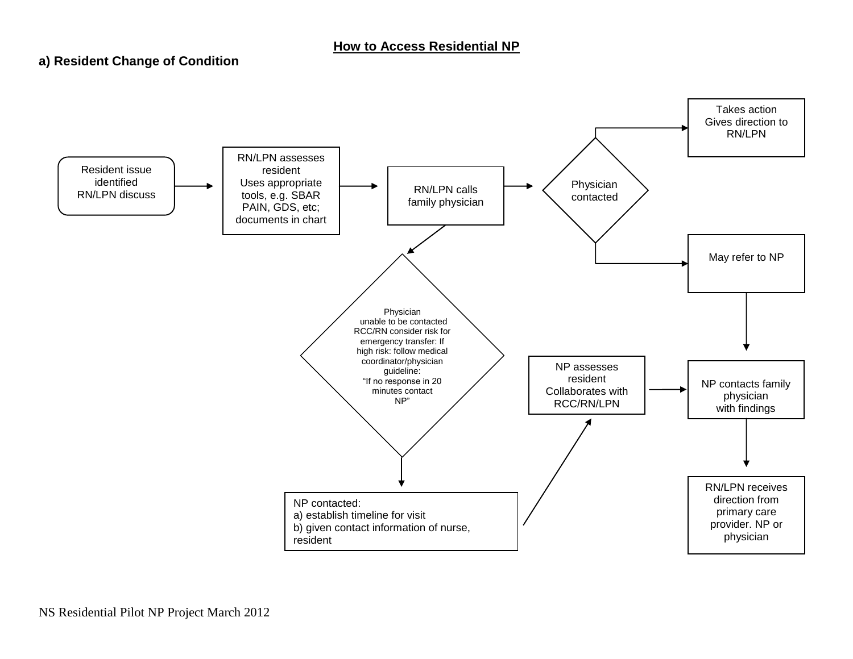## **a) Resident Change of Condition**